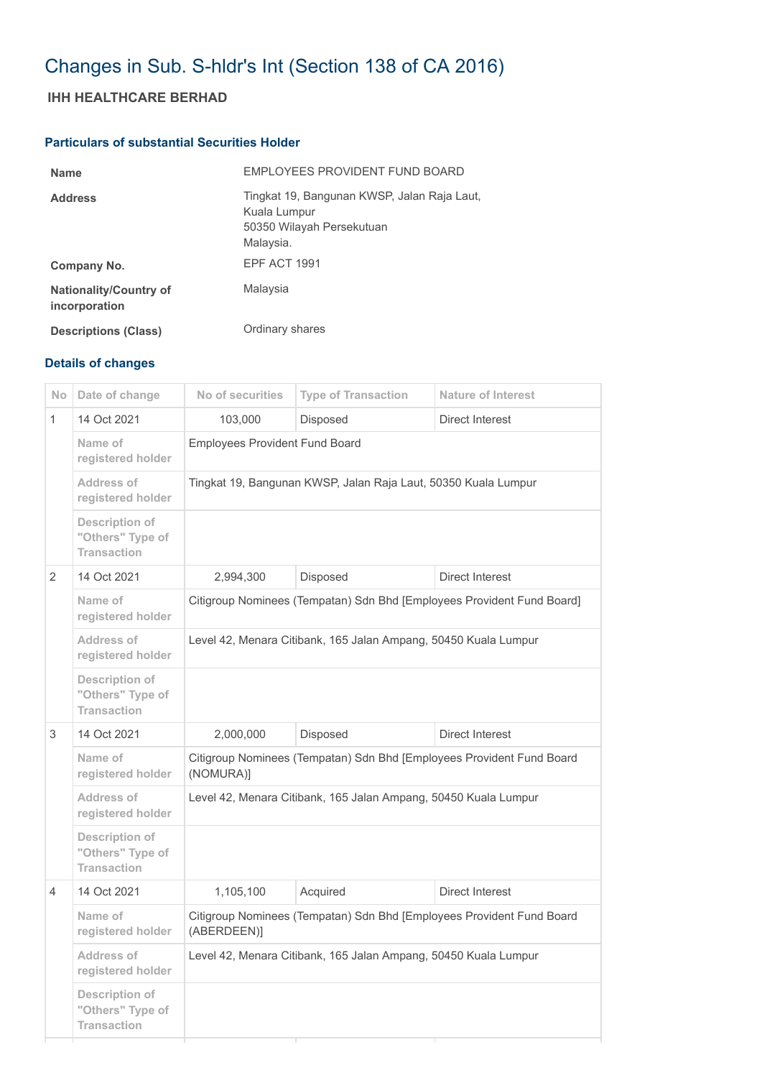# Changes in Sub. S-hldr's Int (Section 138 of CA 2016)

## **IHH HEALTHCARE BERHAD**

#### **Particulars of substantial Securities Holder**

| <b>Name</b>                                    | EMPLOYEES PROVIDENT FUND BOARD                                                                        |
|------------------------------------------------|-------------------------------------------------------------------------------------------------------|
| <b>Address</b>                                 | Tingkat 19, Bangunan KWSP, Jalan Raja Laut,<br>Kuala Lumpur<br>50350 Wilayah Persekutuan<br>Malaysia. |
| Company No.                                    | EPF ACT 1991                                                                                          |
| <b>Nationality/Country of</b><br>incorporation | Malaysia                                                                                              |
| <b>Descriptions (Class)</b>                    | Ordinary shares                                                                                       |

### **Details of changes**

| N <sub>o</sub> | Date of change                                           | No of securities                                                                     | <b>Type of Transaction</b> | <b>Nature of Interest</b> |  |
|----------------|----------------------------------------------------------|--------------------------------------------------------------------------------------|----------------------------|---------------------------|--|
| $\mathbf{1}$   | 14 Oct 2021                                              | 103,000                                                                              | Disposed                   | <b>Direct Interest</b>    |  |
|                | Name of<br>registered holder                             | <b>Employees Provident Fund Board</b>                                                |                            |                           |  |
|                | Address of<br>registered holder                          | Tingkat 19, Bangunan KWSP, Jalan Raja Laut, 50350 Kuala Lumpur                       |                            |                           |  |
|                | Description of<br>"Others" Type of<br><b>Transaction</b> |                                                                                      |                            |                           |  |
| $\overline{2}$ | 14 Oct 2021                                              | 2,994,300                                                                            | Disposed                   | Direct Interest           |  |
|                | Name of<br>registered holder                             | Citigroup Nominees (Tempatan) Sdn Bhd [Employees Provident Fund Board]               |                            |                           |  |
|                | Address of<br>registered holder                          | Level 42, Menara Citibank, 165 Jalan Ampang, 50450 Kuala Lumpur                      |                            |                           |  |
|                | Description of<br>"Others" Type of<br><b>Transaction</b> |                                                                                      |                            |                           |  |
| 3              | 14 Oct 2021                                              | 2,000,000                                                                            | Disposed                   | Direct Interest           |  |
|                | Name of<br>registered holder                             | Citigroup Nominees (Tempatan) Sdn Bhd [Employees Provident Fund Board<br>(NOMURA)]   |                            |                           |  |
|                | Address of<br>registered holder                          | Level 42, Menara Citibank, 165 Jalan Ampang, 50450 Kuala Lumpur                      |                            |                           |  |
|                | Description of<br>"Others" Type of<br><b>Transaction</b> |                                                                                      |                            |                           |  |
| $\overline{4}$ | 14 Oct 2021                                              | 1,105,100                                                                            | Acquired                   | Direct Interest           |  |
|                | Name of<br>registered holder                             | Citigroup Nominees (Tempatan) Sdn Bhd [Employees Provident Fund Board<br>(ABERDEEN)] |                            |                           |  |
|                | <b>Address of</b><br>registered holder                   | Level 42, Menara Citibank, 165 Jalan Ampang, 50450 Kuala Lumpur                      |                            |                           |  |
|                | Description of<br>"Others" Type of<br><b>Transaction</b> |                                                                                      |                            |                           |  |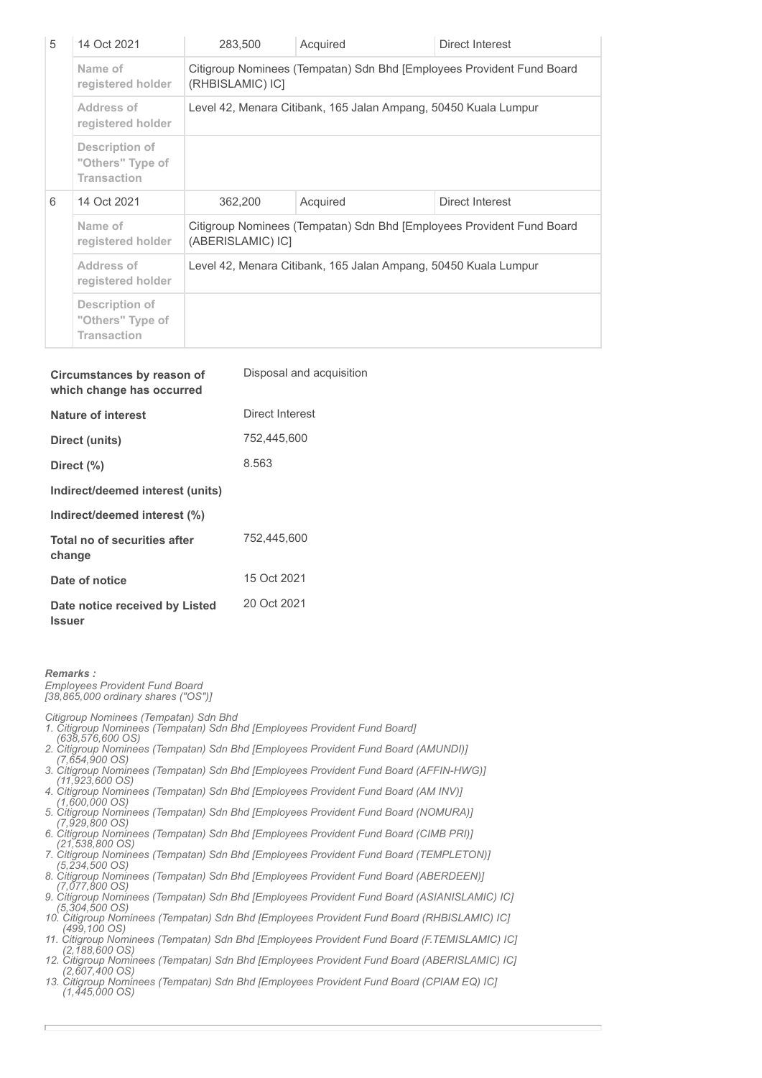| 5 | 14 Oct 2021                                                     | 283,500                                                                                    | Acquired | Direct Interest |  |
|---|-----------------------------------------------------------------|--------------------------------------------------------------------------------------------|----------|-----------------|--|
|   | Name of<br>registered holder                                    | Citigroup Nominees (Tempatan) Sdn Bhd [Employees Provident Fund Board<br>(RHBISLAMIC) ICI  |          |                 |  |
|   | Address of<br>registered holder                                 | Level 42, Menara Citibank, 165 Jalan Ampang, 50450 Kuala Lumpur                            |          |                 |  |
|   | <b>Description of</b><br>"Others" Type of<br><b>Transaction</b> |                                                                                            |          |                 |  |
| 6 | 14 Oct 2021                                                     | 362,200                                                                                    | Acquired | Direct Interest |  |
|   | Name of<br>registered holder                                    | Citigroup Nominees (Tempatan) Sdn Bhd [Employees Provident Fund Board<br>(ABERISLAMIC) ICI |          |                 |  |
|   | Address of<br>registered holder                                 | Level 42, Menara Citibank, 165 Jalan Ampang, 50450 Kuala Lumpur                            |          |                 |  |
|   | Description of<br>"Others" Type of<br><b>Transaction</b>        |                                                                                            |          |                 |  |

| Circumstances by reason of<br>which change has occurred | Disposal and acquisition |
|---------------------------------------------------------|--------------------------|
| <b>Nature of interest</b>                               | Direct Interest          |
| Direct (units)                                          | 752,445,600              |
| Direct $(\% )$                                          | 8.563                    |
| Indirect/deemed interest (units)                        |                          |
| Indirect/deemed interest (%)                            |                          |
| Total no of securities after<br>change                  | 752.445.600              |
| Date of notice                                          | 15 Oct 2021              |
| Date notice received by Listed                          | 20 Oct 2021              |

#### *Remarks : Employees Provident Fund Board [38,865,000 ordinary shares ("OS")]*

**Issuer**

*Citigroup Nominees (Tempatan) Sdn Bhd* 

- *1. Citigroup Nominees (Tempatan) Sdn Bhd [Employees Provident Fund Board] (638,576,600 OS)*
- *2. Citigroup Nominees (Tempatan) Sdn Bhd [Employees Provident Fund Board (AMUNDI)]*
- *(7,654,900 OS) 3. Citigroup Nominees (Tempatan) Sdn Bhd [Employees Provident Fund Board (AFFIN-HWG)]*
- *(11,923,600 OS) 4. Citigroup Nominees (Tempatan) Sdn Bhd [Employees Provident Fund Board (AM INV)] (1,600,000 OS)*
- *5. Citigroup Nominees (Tempatan) Sdn Bhd [Employees Provident Fund Board (NOMURA)]*
- *(7,929,800 OS) 6. Citigroup Nominees (Tempatan) Sdn Bhd [Employees Provident Fund Board (CIMB PRI)]*
- *(21,538,800 OS)*
- *7. Citigroup Nominees (Tempatan) Sdn Bhd [Employees Provident Fund Board (TEMPLETON)]*
- *(5,234,500 OS) 8. Citigroup Nominees (Tempatan) Sdn Bhd [Employees Provident Fund Board (ABERDEEN)]*
- *(7,077,800 OS)*
- *9. Citigroup Nominees (Tempatan) Sdn Bhd [Employees Provident Fund Board (ASIANISLAMIC) IC] (5,304,500 OS)*
- *10. Citigroup Nominees (Tempatan) Sdn Bhd [Employees Provident Fund Board (RHBISLAMIC) IC] (499,100 OS) 11. Citigroup Nominees (Tempatan) Sdn Bhd [Employees Provident Fund Board (F.TEMISLAMIC) IC]*
- *(2,188,600 OS) 12. Citigroup Nominees (Tempatan) Sdn Bhd [Employees Provident Fund Board (ABERISLAMIC) IC]*
- *(2,607,400 OS)*
- *13. Citigroup Nominees (Tempatan) Sdn Bhd [Employees Provident Fund Board (CPIAM EQ) IC] (1,445,000 OS)*